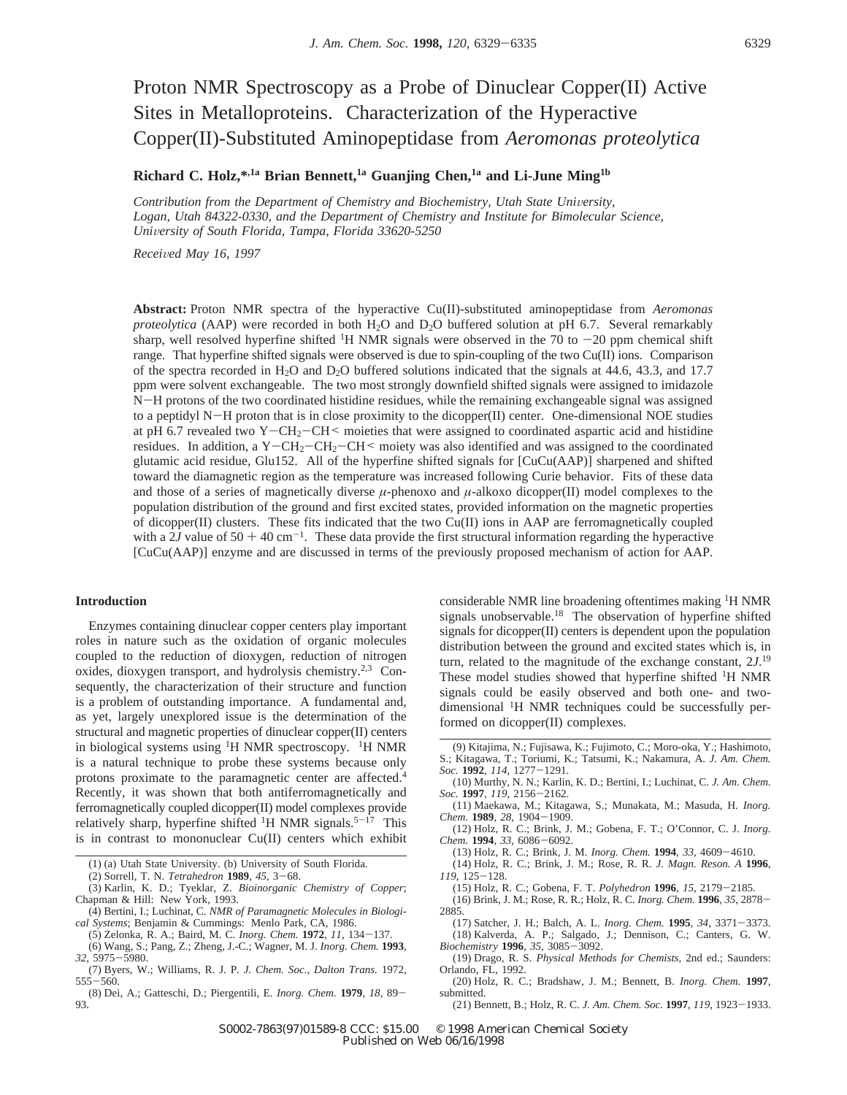## Proton NMR Spectroscopy as a Probe of Dinuclear Copper(II) Active Sites in Metalloproteins. Characterization of the Hyperactive Copper(II)-Substituted Aminopeptidase from *Aeromonas proteolytica*

**Richard C. Holz,\*,1a Brian Bennett,1a Guanjing Chen,1a and Li-June Ming1b**

*Contribution from the Department of Chemistry and Biochemistry, Utah State University, Logan, Utah 84322-0330, and the Department of Chemistry and Institute for Bimolecular Science, Uni*V*ersity of South Florida, Tampa, Florida 33620-5250*

*Recei*V*ed May 16, 1997*

**Abstract:** Proton NMR spectra of the hyperactive Cu(II)-substituted aminopeptidase from *Aeromonas proteolytica* (AAP) were recorded in both H2O and D2O buffered solution at pH 6.7. Several remarkably sharp, well resolved hyperfine shifted <sup>1</sup>H NMR signals were observed in the 70 to  $-20$  ppm chemical shift range. That hyperfine shifted signals were observed is due to spin-coupling of the two Cu(II) ions. Comparison of the spectra recorded in H2O and D2O buffered solutions indicated that the signals at 44.6, 43.3, and 17.7 ppm were solvent exchangeable. The two most strongly downfield shifted signals were assigned to imidazole <sup>N</sup>-H protons of the two coordinated histidine residues, while the remaining exchangeable signal was assigned to a peptidyl N-H proton that is in close proximity to the dicopper(II) center. One-dimensional NOE studies at pH 6.7 revealed two Y-CH<sub>2</sub>-CH<sup> $\leq$ </sup> moieties that were assigned to coordinated aspartic acid and histidine residues. In addition, a Y-CH<sub>2</sub>-CH<sub>2</sub>-CH<sup><</sup> moiety was also identified and was assigned to the coordinated glutamic acid residue, Glu152. All of the hyperfine shifted signals for [CuCu(AAP)] sharpened and shifted toward the diamagnetic region as the temperature was increased following Curie behavior. Fits of these data and those of a series of magnetically diverse  $\mu$ -phenoxo and  $\mu$ -alkoxo dicopper(II) model complexes to the population distribution of the ground and first excited states, provided information on the magnetic properties of dicopper(II) clusters. These fits indicated that the two  $Cu(II)$  ions in AAP are ferromagnetically coupled with a  $2J$  value of 50 + 40 cm<sup>-1</sup>. These data provide the first structural information regarding the hyperactive [CuCu(AAP)] enzyme and are discussed in terms of the previously proposed mechanism of action for AAP.

## **Introduction**

Enzymes containing dinuclear copper centers play important roles in nature such as the oxidation of organic molecules coupled to the reduction of dioxygen, reduction of nitrogen oxides, dioxygen transport, and hydrolysis chemistry.<sup>2,3</sup> Consequently, the characterization of their structure and function is a problem of outstanding importance. A fundamental and, as yet, largely unexplored issue is the determination of the structural and magnetic properties of dinuclear copper(II) centers in biological systems using  ${}^{1}H$  NMR spectroscopy.  ${}^{1}H$  NMR is a natural technique to probe these systems because only protons proximate to the paramagnetic center are affected.4 Recently, it was shown that both antiferromagnetically and ferromagnetically coupled dicopper(II) model complexes provide relatively sharp, hyperfine shifted <sup>1</sup>H NMR signals.<sup>5-17</sup> This is in contrast to mononuclear Cu(II) centers which exhibit

- (1) (a) Utah State University. (b) University of South Florida.<br>(2) Sorrell, T. N. Tetrahedron  $1989, 45, 3-68$ .
- 
- (2) Sorrell, T. N. *Tetrahedron* **<sup>1989</sup>**, *<sup>45</sup>*, 3-68. (3) Karlin, K. D.; Tyeklar, Z. *Bioinorganic Chemistry of Copper*; Chapman & Hill: New York, 1993.
- (4) Bertini, I.; Luchinat, C. *NMR of Paramagnetic Molecules in Biological Systems*; Benjamin & Cummings: Menlo Park, CA, 1986.
- (5) Zelonka, R. A.; Baird, M. C. *Inorg. Chem.* **<sup>1972</sup>**, *<sup>11</sup>*, 134-137. (6) Wang, S.; Pang, Z.; Zheng, J.-C.; Wagner, M. J. *Inorg. Chem.* **1993**,
- *<sup>32</sup>*, 5975-5980.
- (7) Byers, W.; Williams, R. J. P. *J. Chem. Soc., Dalton Trans.* 1972, <sup>555</sup>-560.
- (8) Dei, A.; Gatteschi, D.; Piergentili, E. *Inorg. Chem.* **<sup>1979</sup>**, *<sup>18</sup>*, 89- 93.

considerable NMR line broadening oftentimes making 1H NMR signals unobservable.<sup>18</sup> The observation of hyperfine shifted signals for dicopper(II) centers is dependent upon the population distribution between the ground and excited states which is, in turn, related to the magnitude of the exchange constant, 2*J*. 19 These model studies showed that hyperfine shifted <sup>1</sup>H NMR signals could be easily observed and both one- and twodimensional 1H NMR techniques could be successfully performed on dicopper(II) complexes.

- *Soc.* **<sup>1992</sup>**, *<sup>114</sup>*, 1277-1291. (10) Murthy, N. N.; Karlin, K. D.; Bertini, I.; Luchinat, C. *J. Am. Chem. Soc.* **<sup>1997</sup>**, *<sup>119</sup>*, 2156-2162.
- (11) Maekawa, M.; Kitagawa, S.; Munakata, M.; Masuda, H. *Inorg. Chem.* **<sup>1989</sup>**, *<sup>28</sup>*, 1904-1909.
- (12) Holz, R. C.; Brink, J. M.; Gobena, F. T.; O'Connor, C. J. *Inorg. Chem.* **<sup>1994</sup>**, *<sup>33</sup>*, 6086-6092.
	- (13) Holz, R. C.; Brink, J. M. *Inorg. Chem.* **<sup>1994</sup>**, *<sup>33</sup>*, 4609-4610.
- (14) Holz, R. C.; Brink, J. M.; Rose, R. R. *J. Magn. Reson. A* **1996**, *<sup>119</sup>*, 125-128.
- (15) Holz, R. C.; Gobena, F. T. *Polyhedron* **<sup>1996</sup>**, *<sup>15</sup>*, 2179-2185.
- (16) Brink, J. M.; Rose, R. R.; Holz, R. C. *Inorg. Chem.* **<sup>1996</sup>**, *<sup>35</sup>*, 2878- 2885.
- (17) Satcher, J. H.; Balch, A. L. *Inorg. Chem.* **<sup>1995</sup>**, *<sup>34</sup>*, 3371-3373. (18) Kalverda, A. P.; Salgado, J.; Dennison, C.; Canters, G. W. *Biochemistry* **<sup>1996</sup>**, *<sup>35</sup>*, 3085-3092.
- (19) Drago, R. S. *Physical Methods for Chemists*, 2nd ed.; Saunders: Orlando, FL, 1992.
- (20) Holz, R. C.; Bradshaw, J. M.; Bennett, B. *Inorg. Chem.* **1997**, submitted.
	- (21) Bennett, B.; Holz, R. C. *J. Am. Chem. Soc.* **<sup>1997</sup>**, *<sup>119</sup>*, 1923-1933.

<sup>(9)</sup> Kitajima, N.; Fujisawa, K.; Fujimoto, C.; Moro-oka, Y.; Hashimoto, S.; Kitagawa, T.; Toriumi, K.; Tatsumi, K.; Nakamura, A. *J. Am. Chem.*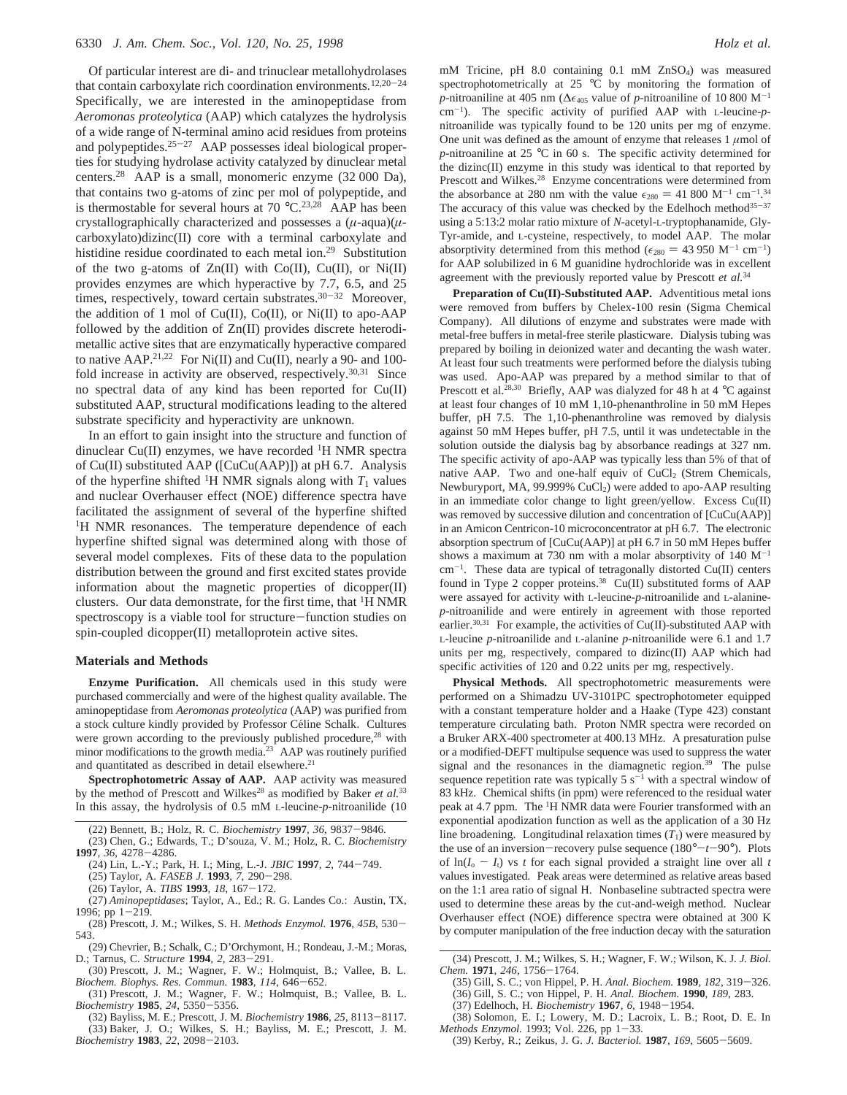Of particular interest are di- and trinuclear metallohydrolases that contain carboxylate rich coordination environments.<sup>12,20-24</sup> Specifically, we are interested in the aminopeptidase from *Aeromonas proteolytica* (AAP) which catalyzes the hydrolysis of a wide range of N-terminal amino acid residues from proteins and polypeptides.<sup>25-27</sup> AAP possesses ideal biological properties for studying hydrolase activity catalyzed by dinuclear metal centers.28 AAP is a small, monomeric enzyme (32 000 Da), that contains two g-atoms of zinc per mol of polypeptide, and is thermostable for several hours at 70  $^{\circ}$ C.<sup>23,28</sup> AAP has been crystallographically characterized and possesses a (*µ*-aqua)(*µ*carboxylato)dizinc(II) core with a terminal carboxylate and histidine residue coordinated to each metal ion.<sup>29</sup> Substitution of the two g-atoms of  $Zn(II)$  with  $Co(II)$ ,  $Cu(II)$ , or  $Ni(II)$ provides enzymes are which hyperactive by 7.7, 6.5, and 25 times, respectively, toward certain substrates.<sup>30-32</sup> Moreover, the addition of 1 mol of  $Cu(II)$ ,  $Co(II)$ , or  $Ni(II)$  to apo-AAP followed by the addition of Zn(II) provides discrete heterodimetallic active sites that are enzymatically hyperactive compared to native AAP.<sup>21,22</sup> For Ni(II) and Cu(II), nearly a 90- and 100fold increase in activity are observed, respectively.<sup>30,31</sup> Since no spectral data of any kind has been reported for Cu(II) substituted AAP, structural modifications leading to the altered substrate specificity and hyperactivity are unknown.

In an effort to gain insight into the structure and function of dinuclear Cu(II) enzymes, we have recorded  ${}^{1}H$  NMR spectra of Cu(II) substituted AAP ([CuCu(AAP)]) at pH 6.7. Analysis of the hyperfine shifted <sup>1</sup>H NMR signals along with  $T_1$  values and nuclear Overhauser effect (NOE) difference spectra have facilitated the assignment of several of the hyperfine shifted <sup>1</sup>H NMR resonances. The temperature dependence of each hyperfine shifted signal was determined along with those of several model complexes. Fits of these data to the population distribution between the ground and first excited states provide information about the magnetic properties of dicopper(II) clusters. Our data demonstrate, for the first time, that <sup>1</sup>H NMR spectroscopy is a viable tool for structure-function studies on spin-coupled dicopper(II) metalloprotein active sites.

## **Materials and Methods**

**Enzyme Purification.** All chemicals used in this study were purchased commercially and were of the highest quality available. The aminopeptidase from *Aeromonas proteolytica* (AAP) was purified from a stock culture kindly provided by Professor Céline Schalk. Cultures were grown according to the previously published procedure,<sup>28</sup> with minor modifications to the growth media.<sup>23</sup> AAP was routinely purified and quantitated as described in detail elsewhere.<sup>21</sup>

**Spectrophotometric Assay of AAP.** AAP activity was measured by the method of Prescott and Wilkes<sup>28</sup> as modified by Baker *et al.*<sup>33</sup> In this assay, the hydrolysis of 0.5 mM L-leucine-*p*-nitroanilide (10

- (25) Taylor, A. *FASEB J.* **<sup>1993</sup>**, *<sup>7</sup>*, 290-298.
- (26) Taylor, A. *TIBS* **<sup>1993</sup>**, *<sup>18</sup>*, 167-172.
- (27) *Aminopeptidases*; Taylor, A., Ed.; R. G. Landes Co.: Austin, TX, 1996; pp  $1-219$ .
- (28) Prescott, J. M.; Wilkes, S. H. *Methods Enzymol.* **<sup>1976</sup>**, *45B*, 530- 543.
- (29) Chevrier, B.; Schalk, C.; D'Orchymont, H.; Rondeau, J.-M.; Moras, D.; Tarnus, C. *Structure* **<sup>1994</sup>**, *<sup>2</sup>*, 283-291.
- (30) Prescott, J. M.; Wagner, F. W.; Holmquist, B.; Vallee, B. L. *Biochem. Biophys. Res. Commun.* **<sup>1983</sup>**, *<sup>114</sup>*, 646-652.
- (31) Prescott, J. M.; Wagner, F. W.; Holmquist, B.; Vallee, B. L. *Biochemistry* **<sup>1985</sup>**, *<sup>24</sup>*, 5350-5356.
- (32) Bayliss, M. E.; Prescott, J. M. *Biochemistry* **<sup>1986</sup>**, *<sup>25</sup>*, 8113-8117. (33) Baker, J. O.; Wilkes, S. H.; Bayliss, M. E.; Prescott, J. M. *Biochemistry* **<sup>1983</sup>**, *<sup>22</sup>*, 2098-2103.

mM Tricine, pH 8.0 containing 0.1 mM ZnSO4) was measured spectrophotometrically at 25 °C by monitoring the formation of *p*-nitroaniline at 405 nm ( $\Delta \epsilon_{405}$  value of *p*-nitroaniline of 10 800 M<sup>-1</sup> cm-1). The specific activity of purified AAP with L-leucine-*p*nitroanilide was typically found to be 120 units per mg of enzyme. One unit was defined as the amount of enzyme that releases  $1 \mu$ mol of *p*-nitroaniline at 25 °C in 60 s. The specific activity determined for the dizinc(II) enzyme in this study was identical to that reported by Prescott and Wilkes.<sup>28</sup> Enzyme concentrations were determined from the absorbance at 280 nm with the value  $\epsilon_{280} = 41\,800 \, \text{M}^{-1} \, \text{cm}^{-1.34}$ <br>The accuracy of this value was checked by the Edelboch method<sup>35–37</sup> The accuracy of this value was checked by the Edelhoch method $35-37$ using a 5:13:2 molar ratio mixture of *N*-acetyl-L-tryptophanamide, Gly-Tyr-amide, and L-cysteine, respectively, to model AAP. The molar absorptivity determined from this method ( $\epsilon_{280} = 43950 \text{ M}^{-1} \text{ cm}^{-1}$ ) for AAP solubilized in 6 M guanidine hydrochloride was in excellent agreement with the previously reported value by Prescott *et al.*<sup>34</sup>

**Preparation of Cu(II)-Substituted AAP.** Adventitious metal ions were removed from buffers by Chelex-100 resin (Sigma Chemical Company). All dilutions of enzyme and substrates were made with metal-free buffers in metal-free sterile plasticware. Dialysis tubing was prepared by boiling in deionized water and decanting the wash water. At least four such treatments were performed before the dialysis tubing was used. Apo-AAP was prepared by a method similar to that of Prescott et al.<sup>28,30</sup> Briefly, AAP was dialyzed for 48 h at 4  $\degree$ C against at least four changes of 10 mM 1,10-phenanthroline in 50 mM Hepes buffer, pH 7.5. The 1,10-phenanthroline was removed by dialysis against 50 mM Hepes buffer, pH 7.5, until it was undetectable in the solution outside the dialysis bag by absorbance readings at 327 nm. The specific activity of apo-AAP was typically less than 5% of that of native AAP. Two and one-half equiv of  $CuCl<sub>2</sub>$  (Strem Chemicals, Newburyport, MA, 99.999% CuCl<sub>2</sub>) were added to apo-AAP resulting in an immediate color change to light green/yellow. Excess Cu(II) was removed by successive dilution and concentration of [CuCu(AAP)] in an Amicon Centricon-10 microconcentrator at pH 6.7. The electronic absorption spectrum of [CuCu(AAP)] at pH 6.7 in 50 mM Hepes buffer shows a maximum at 730 nm with a molar absorptivity of  $140 \text{ M}^{-1}$  $cm^{-1}$ . These data are typical of tetragonally distorted Cu(II) centers found in Type 2 copper proteins.<sup>38</sup> Cu(II) substituted forms of AAP were assayed for activity with L-leucine-*p*-nitroanilide and L-alanine*p*-nitroanilide and were entirely in agreement with those reported earlier.<sup>30,31</sup> For example, the activities of Cu(II)-substituted AAP with L-leucine *p*-nitroanilide and L-alanine *p*-nitroanilide were 6.1 and 1.7 units per mg, respectively, compared to dizinc(II) AAP which had specific activities of 120 and 0.22 units per mg, respectively.

**Physical Methods.** All spectrophotometric measurements were performed on a Shimadzu UV-3101PC spectrophotometer equipped with a constant temperature holder and a Haake (Type 423) constant temperature circulating bath. Proton NMR spectra were recorded on a Bruker ARX-400 spectrometer at 400.13 MHz. A presaturation pulse or a modified-DEFT multipulse sequence was used to suppress the water signal and the resonances in the diamagnetic region.<sup>39</sup> The pulse sequence repetition rate was typically  $5 s<sup>-1</sup>$  with a spectral window of 83 kHz. Chemical shifts (in ppm) were referenced to the residual water peak at 4.7 ppm. The <sup>1</sup>H NMR data were Fourier transformed with an exponential apodization function as well as the application of a 30 Hz line broadening. Longitudinal relaxation times  $(T_1)$  were measured by the use of an inversion-recovery pulse sequence (180°-*t*-90°). Plots of  $ln(I_0 - I_1)$  vs *t* for each signal provided a straight line over all *t* values investigated. Peak areas were determined as relative areas based on the 1:1 area ratio of signal H. Nonbaseline subtracted spectra were used to determine these areas by the cut-and-weigh method. Nuclear Overhauser effect (NOE) difference spectra were obtained at 300 K by computer manipulation of the free induction decay with the saturation

- (35) Gill, S. C.; von Hippel, P. H. *Anal. Biochem.* **<sup>1989</sup>**, *<sup>182</sup>*, 319-326. (36) Gill, S. C.; von Hippel, P. H. *Anal. Biochem.* **1990**, *189*, 283.
- 
- (37) Edelhoch, H. *Biochemistry* **<sup>1967</sup>**, *<sup>6</sup>*, 1948-1954.
- (38) Solomon, E. I.; Lowery, M. D.; Lacroix, L. B.; Root, D. E. In *Methods Enzymol.* 1993; Vol. 226, pp 1-33.
- (39) Kerby, R.; Zeikus, J. G. *J. Bacteriol.* **<sup>1987</sup>**, *<sup>169</sup>*, 5605-5609.

<sup>(22)</sup> Bennett, B.; Holz, R. C. *Biochemistry* **<sup>1997</sup>**, *<sup>36</sup>*, 9837-9846. (23) Chen, G.; Edwards, T.; D'souza, V. M.; Holz, R. C. *Biochemistry*

**<sup>1997</sup>**, *<sup>36</sup>*, 4278-4286.

<sup>(24)</sup> Lin, L.-Y.; Park, H. I.; Ming, L.-J. *JBIC* **<sup>1997</sup>**, *<sup>2</sup>*, 744-749.

<sup>(34)</sup> Prescott, J. M.; Wilkes, S. H.; Wagner, F. W.; Wilson, K. J. *J. Biol. Chem.* **<sup>1971</sup>**, *<sup>246</sup>*, 1756-1764.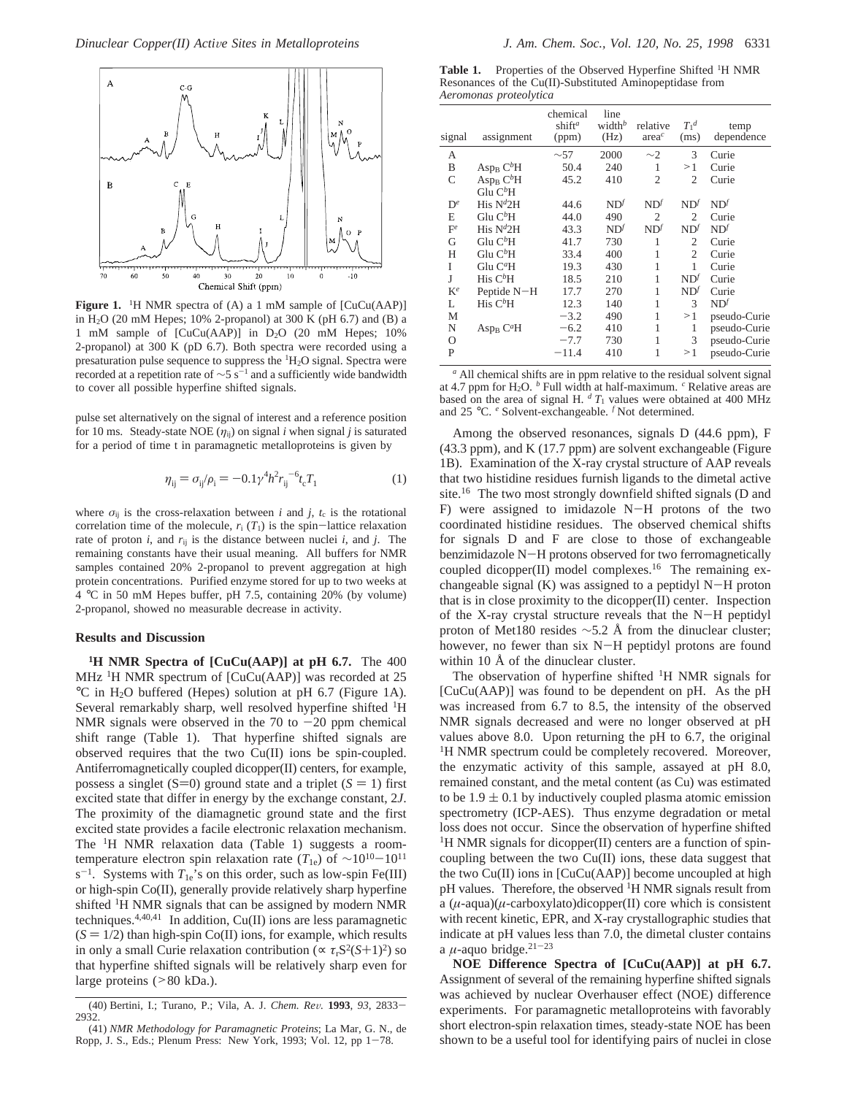

Figure 1. <sup>1</sup>H NMR spectra of (A) a 1 mM sample of [CuCu(AAP)] in H2O (20 mM Hepes; 10% 2-propanol) at 300 K (pH 6.7) and (B) a 1 mM sample of [CuCu(AAP)] in D2O (20 mM Hepes; 10% 2-propanol) at 300 K (pD 6.7). Both spectra were recorded using a presaturation pulse sequence to suppress the  ${}^{1}H_{2}O$  signal. Spectra were recorded at a repetition rate of  $\sim$ 5 s<sup>-1</sup> and a sufficiently wide bandwidth to cover all possible hyperfine shifted signals.

pulse set alternatively on the signal of interest and a reference position for 10 ms. Steady-state NOE  $(\eta_{ij})$  on signal *i* when signal *j* is saturated for a period of time t in paramagnetic metalloproteins is given by

$$
\eta_{ij} = \sigma_{ij}/\rho_i = -0.1\gamma^4 h^2 r_{ij}^{-6} t_c T_1 \tag{1}
$$

where  $\sigma_{ij}$  is the cross-relaxation between *i* and *j*,  $t_c$  is the rotational correlation time of the molecule,  $r_i$  ( $T_1$ ) is the spin-lattice relaxation rate of proton  $i$ , and  $r_{ij}$  is the distance between nuclei  $i$ , and  $j$ . The remaining constants have their usual meaning. All buffers for NMR samples contained 20% 2-propanol to prevent aggregation at high protein concentrations. Purified enzyme stored for up to two weeks at 4 °C in 50 mM Hepes buffer, pH 7.5, containing 20% (by volume) 2-propanol, showed no measurable decrease in activity.

## **Results and Discussion**

**1H NMR Spectra of [CuCu(AAP)] at pH 6.7.** The 400 MHz <sup>1</sup>H NMR spectrum of [CuCu(AAP)] was recorded at 25 °C in H2O buffered (Hepes) solution at pH 6.7 (Figure 1A). Several remarkably sharp, well resolved hyperfine shifted <sup>1</sup>H NMR signals were observed in the 70 to  $-20$  ppm chemical shift range (Table 1). That hyperfine shifted signals are observed requires that the two Cu(II) ions be spin-coupled. Antiferromagnetically coupled dicopper(II) centers, for example, possess a singlet (S=0) ground state and a triplet ( $S = 1$ ) first excited state that differ in energy by the exchange constant, 2*J*. The proximity of the diamagnetic ground state and the first excited state provides a facile electronic relaxation mechanism. The 1H NMR relaxation data (Table 1) suggests a roomtemperature electron spin relaxation rate (*T*1e) of <sup>∼</sup>1010-<sup>1011</sup>  $s^{-1}$ . Systems with  $T_{1e}$ 's on this order, such as low-spin Fe(III) or high-spin Co(II), generally provide relatively sharp hyperfine shifted 1H NMR signals that can be assigned by modern NMR techniques.<sup>4,40,41</sup> In addition, Cu(II) ions are less paramagnetic  $(S = 1/2)$  than high-spin Co(II) ions, for example, which results in only a small Curie relaxation contribution ( $\propto \tau_r S^2(S+1)^2$ ) so that hyperfine shifted signals will be relatively sharp even for large proteins (>80 kDa.).

Table 1. Properties of the Observed Hyperfine Shifted <sup>1</sup>H NMR Resonances of the Cu(II)-Substituted Aminopeptidase from *Aeromonas proteolytica*

| 2000<br>3<br>$\sim$ 57<br>$\sim$ 2<br>Curie<br>А<br>50.4<br>240<br>B<br>Asp <sub>B</sub> C <sup>b</sup> H<br>1<br>>1<br>Curie<br>Asp <sub>B</sub> C <sup>b</sup> H<br>45.2<br>C<br>410<br>2<br>$\overline{c}$<br>Curie<br>Glu $C^b$ H<br>His $N^{d}2H$<br>$ND^{f}$<br>ND <sup>f</sup><br>ND <sup>f</sup><br>ND <sup>f</sup><br>$\mathbf{D}^e$<br>44.6<br>$Glu C^bH$<br>E<br>44.0<br>490<br>$\mathfrak{2}$<br>Curie<br>$\overline{c}$<br>His $N^{d}2H$<br>43.3<br>ND <sup>f</sup><br>ND <sup>f</sup><br>ND <sup>f</sup><br>ND <sup>f</sup><br>$F^e$<br>Glu $C^b$ H<br>G<br>730<br>41.7<br>1<br>$\overline{c}$<br>Curie<br>Glu $C^b$ H<br>400<br>2<br>Н<br>33.4<br>1<br>Curie<br>Glu C <sup>a</sup> H<br>430<br>I<br>19.3<br>1<br>1<br>Curie<br>His $C^b$ H<br>J<br>210<br>ND <sup>f</sup><br>18.5<br>1<br>Curie<br>$ND^{f}$<br>$K^e$<br>Peptide N-H<br>1<br>Curie<br>17.7<br>270<br>His $C^b$ H<br>$\mathcal{F}$<br>ND <sup>f</sup><br>140<br>1<br>12.3<br>L<br>490<br>1<br>$-3.2$<br>М<br>$\geq 1$<br>N<br>$-6.2$<br>410<br>1<br>Asp <sub>B</sub> $C^aH$<br>1<br>1<br>3<br>$-7.7$<br>730<br>O | signal | assignment | chemical<br>shift <sup>a</sup><br>(ppm) | line<br>width $b$<br>(Hz) | relative<br>area <sup>c</sup> | $T_1^d$<br>(ms) | temp<br>dependence |
|-----------------------------------------------------------------------------------------------------------------------------------------------------------------------------------------------------------------------------------------------------------------------------------------------------------------------------------------------------------------------------------------------------------------------------------------------------------------------------------------------------------------------------------------------------------------------------------------------------------------------------------------------------------------------------------------------------------------------------------------------------------------------------------------------------------------------------------------------------------------------------------------------------------------------------------------------------------------------------------------------------------------------------------------------------------------------------------------------|--------|------------|-----------------------------------------|---------------------------|-------------------------------|-----------------|--------------------|
|                                                                                                                                                                                                                                                                                                                                                                                                                                                                                                                                                                                                                                                                                                                                                                                                                                                                                                                                                                                                                                                                                               |        |            |                                         |                           |                               |                 |                    |
|                                                                                                                                                                                                                                                                                                                                                                                                                                                                                                                                                                                                                                                                                                                                                                                                                                                                                                                                                                                                                                                                                               |        |            |                                         |                           |                               |                 |                    |
|                                                                                                                                                                                                                                                                                                                                                                                                                                                                                                                                                                                                                                                                                                                                                                                                                                                                                                                                                                                                                                                                                               |        |            |                                         |                           |                               |                 |                    |
|                                                                                                                                                                                                                                                                                                                                                                                                                                                                                                                                                                                                                                                                                                                                                                                                                                                                                                                                                                                                                                                                                               |        |            |                                         |                           |                               |                 |                    |
|                                                                                                                                                                                                                                                                                                                                                                                                                                                                                                                                                                                                                                                                                                                                                                                                                                                                                                                                                                                                                                                                                               |        |            |                                         |                           |                               |                 |                    |
|                                                                                                                                                                                                                                                                                                                                                                                                                                                                                                                                                                                                                                                                                                                                                                                                                                                                                                                                                                                                                                                                                               |        |            |                                         |                           |                               |                 |                    |
|                                                                                                                                                                                                                                                                                                                                                                                                                                                                                                                                                                                                                                                                                                                                                                                                                                                                                                                                                                                                                                                                                               |        |            |                                         |                           |                               |                 |                    |
|                                                                                                                                                                                                                                                                                                                                                                                                                                                                                                                                                                                                                                                                                                                                                                                                                                                                                                                                                                                                                                                                                               |        |            |                                         |                           |                               |                 |                    |
|                                                                                                                                                                                                                                                                                                                                                                                                                                                                                                                                                                                                                                                                                                                                                                                                                                                                                                                                                                                                                                                                                               |        |            |                                         |                           |                               |                 |                    |
|                                                                                                                                                                                                                                                                                                                                                                                                                                                                                                                                                                                                                                                                                                                                                                                                                                                                                                                                                                                                                                                                                               |        |            |                                         |                           |                               |                 |                    |
|                                                                                                                                                                                                                                                                                                                                                                                                                                                                                                                                                                                                                                                                                                                                                                                                                                                                                                                                                                                                                                                                                               |        |            |                                         |                           |                               |                 |                    |
|                                                                                                                                                                                                                                                                                                                                                                                                                                                                                                                                                                                                                                                                                                                                                                                                                                                                                                                                                                                                                                                                                               |        |            |                                         |                           |                               |                 |                    |
|                                                                                                                                                                                                                                                                                                                                                                                                                                                                                                                                                                                                                                                                                                                                                                                                                                                                                                                                                                                                                                                                                               |        |            |                                         |                           |                               |                 |                    |
|                                                                                                                                                                                                                                                                                                                                                                                                                                                                                                                                                                                                                                                                                                                                                                                                                                                                                                                                                                                                                                                                                               |        |            |                                         |                           |                               |                 | pseudo-Curie       |
|                                                                                                                                                                                                                                                                                                                                                                                                                                                                                                                                                                                                                                                                                                                                                                                                                                                                                                                                                                                                                                                                                               |        |            |                                         |                           |                               |                 | pseudo-Curie       |
|                                                                                                                                                                                                                                                                                                                                                                                                                                                                                                                                                                                                                                                                                                                                                                                                                                                                                                                                                                                                                                                                                               |        |            |                                         |                           |                               |                 | pseudo-Curie       |
|                                                                                                                                                                                                                                                                                                                                                                                                                                                                                                                                                                                                                                                                                                                                                                                                                                                                                                                                                                                                                                                                                               | P      |            | $-11.4$                                 | 410                       | 1                             | >1              | pseudo-Curie       |

*<sup>a</sup>* All chemical shifts are in ppm relative to the residual solvent signal at 4.7 ppm for H<sub>2</sub>O. *b* Full width at half-maximum.  $c$  Relative areas are based on the area of signal H.  $^dT_1$  values were obtained at 400 MHz and 25 °C. *<sup>e</sup>* Solvent-exchangeable. *<sup>f</sup>* Not determined.

Among the observed resonances, signals D (44.6 ppm), F (43.3 ppm), and K (17.7 ppm) are solvent exchangeable (Figure 1B). Examination of the X-ray crystal structure of AAP reveals that two histidine residues furnish ligands to the dimetal active site.<sup>16</sup> The two most strongly downfield shifted signals (D and F) were assigned to imidazole N-H protons of the two coordinated histidine residues. The observed chemical shifts for signals D and F are close to those of exchangeable benzimidazole N-H protons observed for two ferromagnetically coupled dicopper(II) model complexes.<sup>16</sup> The remaining exchangeable signal (K) was assigned to a peptidyl N-H proton that is in close proximity to the dicopper(II) center. Inspection of the X-ray crystal structure reveals that the N-H peptidyl proton of Met180 resides ∼5.2 Å from the dinuclear cluster; however, no fewer than six N-H peptidyl protons are found within 10 Å of the dinuclear cluster.

The observation of hyperfine shifted  ${}^{1}$ H NMR signals for [CuCu(AAP)] was found to be dependent on pH. As the pH was increased from 6.7 to 8.5, the intensity of the observed NMR signals decreased and were no longer observed at pH values above 8.0. Upon returning the pH to 6.7, the original <sup>1</sup>H NMR spectrum could be completely recovered. Moreover, the enzymatic activity of this sample, assayed at pH 8.0, remained constant, and the metal content (as Cu) was estimated to be  $1.9 \pm 0.1$  by inductively coupled plasma atomic emission spectrometry (ICP-AES). Thus enzyme degradation or metal loss does not occur. Since the observation of hyperfine shifted <sup>1</sup>H NMR signals for dicopper(II) centers are a function of spincoupling between the two Cu(II) ions, these data suggest that the two Cu(II) ions in [CuCu(AAP)] become uncoupled at high pH values. Therefore, the observed <sup>1</sup>H NMR signals result from a (*µ*-aqua)(*µ*-carboxylato)dicopper(II) core which is consistent with recent kinetic, EPR, and X-ray crystallographic studies that indicate at pH values less than 7.0, the dimetal cluster contains a  $\mu$ -aquo bridge.<sup>21-23</sup>

**NOE Difference Spectra of [CuCu(AAP)] at pH 6.7.** Assignment of several of the remaining hyperfine shifted signals was achieved by nuclear Overhauser effect (NOE) difference experiments. For paramagnetic metalloproteins with favorably short electron-spin relaxation times, steady-state NOE has been shown to be a useful tool for identifying pairs of nuclei in close

<sup>(40)</sup> Bertini, I.; Turano, P.; Vila, A. J. *Chem. Re*V*.* **<sup>1993</sup>**, *<sup>93</sup>*, 2833- 2932.

<sup>(41)</sup> *NMR Methodology for Paramagnetic Proteins*; La Mar, G. N., de Ropp, J. S., Eds.; Plenum Press: New York, 1993; Vol. 12, pp 1-78.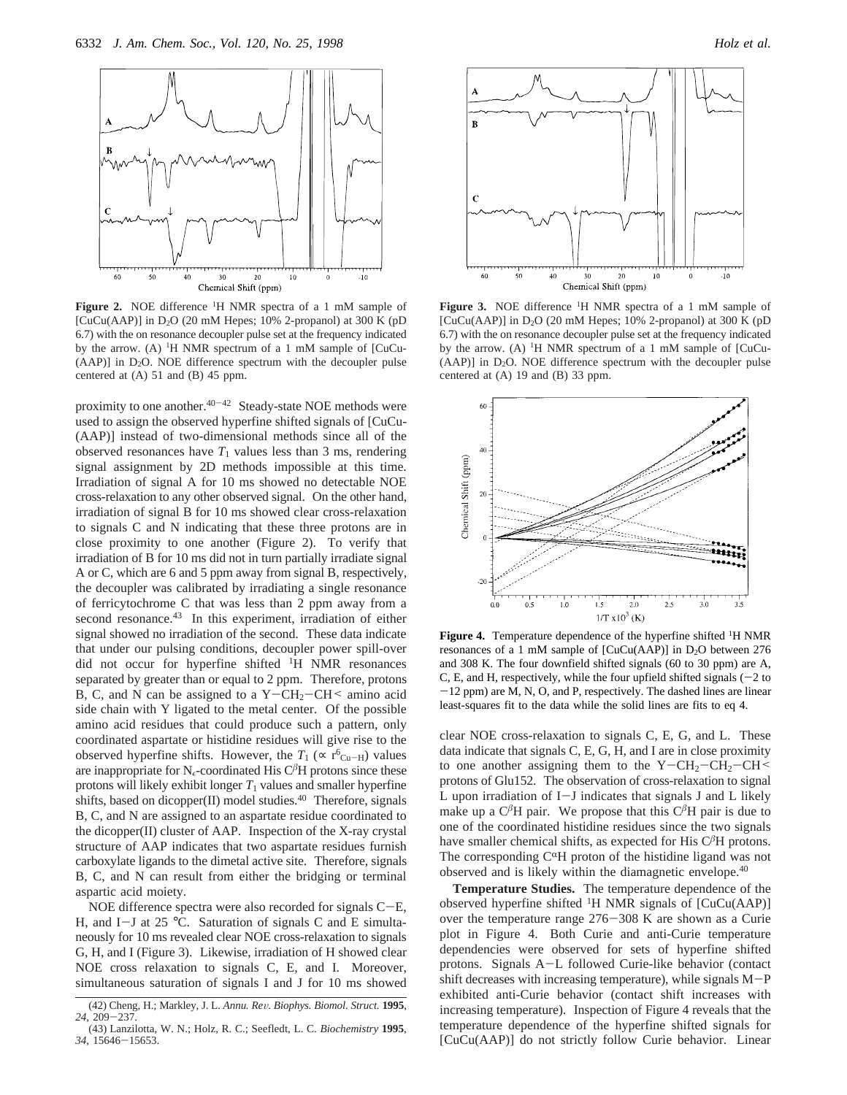

**Figure 2.** NOE difference 1H NMR spectra of a 1 mM sample of [CuCu(AAP)] in  $D_2O$  (20 mM Hepes; 10% 2-propanol) at 300 K (pD 6.7) with the on resonance decoupler pulse set at the frequency indicated by the arrow. (A) 1H NMR spectrum of a 1 mM sample of [CuCu-  $(AAP)$ ] in  $D_2O$ . NOE difference spectrum with the decoupler pulse centered at (A) 51 and (B) 45 ppm.

proximity to one another.<sup>40-42</sup> Steady-state NOE methods were used to assign the observed hyperfine shifted signals of [CuCu- (AAP)] instead of two-dimensional methods since all of the observed resonances have  $T_1$  values less than 3 ms, rendering signal assignment by 2D methods impossible at this time. Irradiation of signal A for 10 ms showed no detectable NOE cross-relaxation to any other observed signal. On the other hand, irradiation of signal B for 10 ms showed clear cross-relaxation to signals C and N indicating that these three protons are in close proximity to one another (Figure 2). To verify that irradiation of B for 10 ms did not in turn partially irradiate signal A or C, which are 6 and 5 ppm away from signal B, respectively, the decoupler was calibrated by irradiating a single resonance of ferricytochrome C that was less than 2 ppm away from a second resonance.<sup>43</sup> In this experiment, irradiation of either signal showed no irradiation of the second. These data indicate that under our pulsing conditions, decoupler power spill-over did not occur for hyperfine shifted 1H NMR resonances separated by greater than or equal to 2 ppm. Therefore, protons B, C, and N can be assigned to a  $Y - CH_2-CH \le$  amino acid side chain with Y ligated to the metal center. Of the possible amino acid residues that could produce such a pattern, only coordinated aspartate or histidine residues will give rise to the observed hyperfine shifts. However, the  $T_1$  ( $\propto$  r<sup>6</sup><sub>Cu-H</sub>) values are inappropriate for  $N_{\epsilon}$ -coordinated His C<sup> $\beta$ </sup>H protons since these protons will likely exhibit longer  $T_1$  values and smaller hyperfine shifts, based on dicopper(II) model studies.<sup>40</sup> Therefore, signals B, C, and N are assigned to an aspartate residue coordinated to the dicopper(II) cluster of AAP. Inspection of the X-ray crystal structure of AAP indicates that two aspartate residues furnish carboxylate ligands to the dimetal active site. Therefore, signals B, C, and N can result from either the bridging or terminal aspartic acid moiety.

NOE difference spectra were also recorded for signals C-E, H, and I-J at 25  $^{\circ}$ C. Saturation of signals C and E simultaneously for 10 ms revealed clear NOE cross-relaxation to signals G, H, and I (Figure 3). Likewise, irradiation of H showed clear NOE cross relaxation to signals C, E, and I. Moreover, simultaneous saturation of signals I and J for 10 ms showed



**Figure 3.** NOE difference 1H NMR spectra of a 1 mM sample of [CuCu(AAP)] in  $D_2O$  (20 mM Hepes; 10% 2-propanol) at 300 K (pD 6.7) with the on resonance decoupler pulse set at the frequency indicated by the arrow. (A) <sup>1</sup>H NMR spectrum of a 1 mM sample of [CuCu- $(AAP)$ ] in  $D_2O$ . NOE difference spectrum with the decoupler pulse centered at (A) 19 and (B) 33 ppm.



Figure 4. Temperature dependence of the hyperfine shifted <sup>1</sup>H NMR resonances of a 1 mM sample of  $[CuCu(AAP)]$  in D<sub>2</sub>O between 276 and 308 K. The four downfield shifted signals (60 to 30 ppm) are A, C, E, and H, respectively, while the four upfield shifted signals  $(-2)$  to -12 ppm) are M, N, O, and P, respectively. The dashed lines are linear least-squares fit to the data while the solid lines are fits to eq 4.

clear NOE cross-relaxation to signals C, E, G, and L. These data indicate that signals C, E, G, H, and I are in close proximity to one another assigning them to the  $Y - CH_2-CH_2-CH \leq$ protons of Glu152. The observation of cross-relaxation to signal L upon irradiation of I-J indicates that signals J and L likely make up a  $C^{\beta}H$  pair. We propose that this  $C^{\beta}H$  pair is due to one of the coordinated histidine residues since the two signals have smaller chemical shifts, as expected for His C*<sup>â</sup>*H protons. The corresponding  $C^{\alpha}H$  proton of the histidine ligand was not observed and is likely within the diamagnetic envelope.40

**Temperature Studies.** The temperature dependence of the observed hyperfine shifted <sup>1</sup>H NMR signals of [CuCu(AAP)] over the temperature range 276-308 K are shown as a Curie plot in Figure 4. Both Curie and anti-Curie temperature dependencies were observed for sets of hyperfine shifted protons. Signals A-L followed Curie-like behavior (contact shift decreases with increasing temperature), while signals M-<sup>P</sup> exhibited anti-Curie behavior (contact shift increases with increasing temperature). Inspection of Figure 4 reveals that the temperature dependence of the hyperfine shifted signals for [CuCu(AAP)] do not strictly follow Curie behavior. Linear

<sup>(42)</sup> Cheng, H.; Markley, J. L. *Annu. Re*V*. Biophys. Biomol. Struct.* **<sup>1995</sup>**, *<sup>24</sup>*, 209-237.

<sup>(43)</sup> Lanzilotta, W. N.; Holz, R. C.; Seefledt, L. C. *Biochemistry* **1995**, *<sup>34</sup>*, 15646-15653.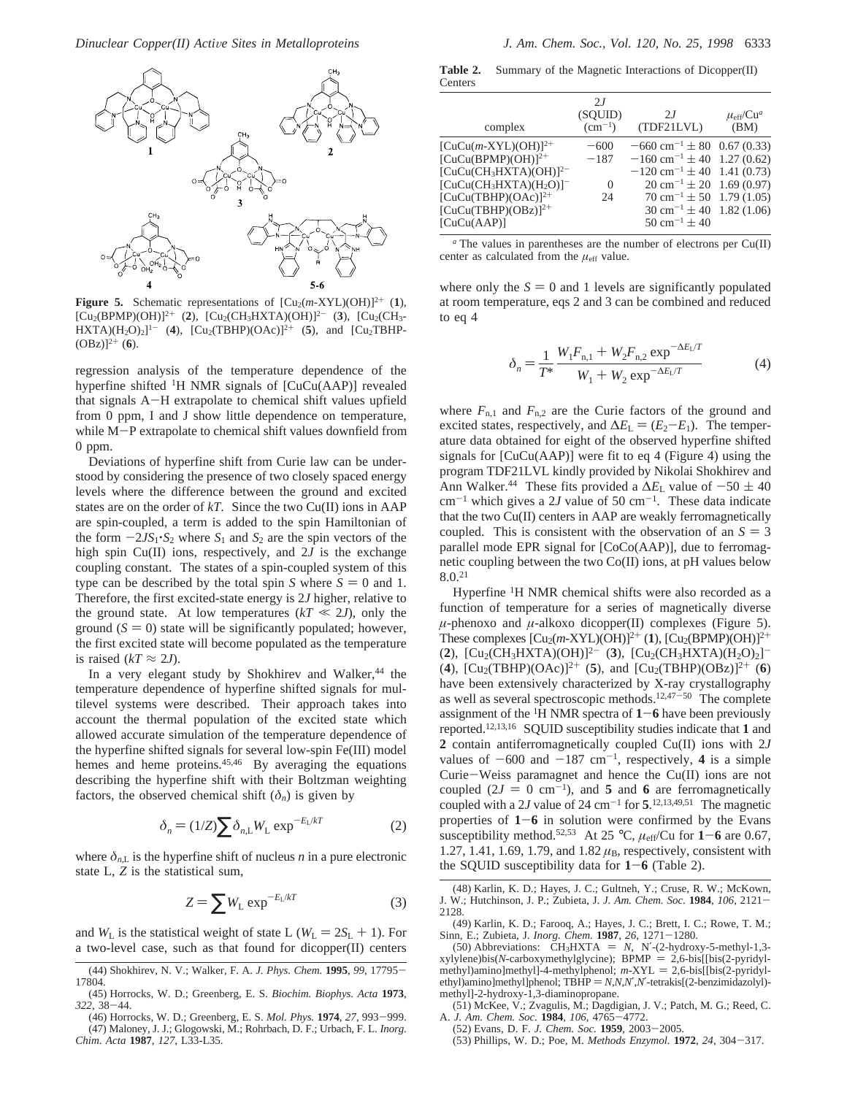

**Figure 5.** Schematic representations of  $[Cu<sub>2</sub>(m-XYL)(OH)]^{2+}$  (1),  $[Cu<sub>2</sub>(BPMP)(OH)]<sup>2+</sup>$  (2),  $[Cu<sub>2</sub>(CH<sub>3</sub>HXTA)(OH)]<sup>2-</sup>$  (3),  $[Cu<sub>2</sub>(CH<sub>3</sub>-)$  $HXTA)(H_2O)_2]^{1-}$  (4),  $[Cu_2(TBHP)(OAc)]^{2+}$  (5), and  $[Cu_2TBHP (OBz)]^{2+}$  (6).

regression analysis of the temperature dependence of the hyperfine shifted <sup>1</sup>H NMR signals of [CuCu(AAP)] revealed that signals A-H extrapolate to chemical shift values upfield from 0 ppm, I and J show little dependence on temperature, while M-P extrapolate to chemical shift values downfield from 0 ppm.

Deviations of hyperfine shift from Curie law can be understood by considering the presence of two closely spaced energy levels where the difference between the ground and excited states are on the order of *kT*. Since the two Cu(II) ions in AAP are spin-coupled, a term is added to the spin Hamiltonian of the form  $-2JS_1 \cdot S_2$  where  $S_1$  and  $S_2$  are the spin vectors of the high spin Cu(II) ions, respectively, and 2*J* is the exchange coupling constant. The states of a spin-coupled system of this type can be described by the total spin *S* where  $S = 0$  and 1. Therefore, the first excited-state energy is 2*J* higher, relative to the ground state. At low temperatures  $(kT \ll 2J)$ , only the ground  $(S = 0)$  state will be significantly populated; however, the first excited state will become populated as the temperature is raised ( $kT \approx 2J$ ).

In a very elegant study by Shokhirev and Walker,<sup>44</sup> the temperature dependence of hyperfine shifted signals for multilevel systems were described. Their approach takes into account the thermal population of the excited state which allowed accurate simulation of the temperature dependence of the hyperfine shifted signals for several low-spin Fe(III) model hemes and heme proteins.<sup>45,46</sup> By averaging the equations describing the hyperfine shift with their Boltzman weighting factors, the observed chemical shift  $(\delta_n)$  is given by

$$
\delta_n = (1/Z) \sum \delta_{n,L} W_L \exp^{-E_L/kT}
$$
 (2)

where  $\delta_{n,L}$  is the hyperfine shift of nucleus *n* in a pure electronic state L, *Z* is the statistical sum,

$$
Z = \sum W_{L} \exp^{-E_{L}/kT}
$$
 (3)

and  $W_{\text{L}}$  is the statistical weight of state L ( $W_{\text{L}} = 2S_{\text{L}} + 1$ ). For a two-level case, such as that found for dicopper(II) centers

**Table 2.** Summary of the Magnetic Interactions of Dicopper(II) Centers

| complex                    | 2I<br>(SQUID)<br>$\rm (cm^{-1})$ | 2I<br>(TDF21LVL)                             | $\mu_{\rm eff}/\text{Cu}^a$<br>(BM) |
|----------------------------|----------------------------------|----------------------------------------------|-------------------------------------|
| $[CuCu(m-XYL)(OH)]^{2+}$   | $-600$                           | $-660$ cm <sup>-1</sup> $\pm$ 80 0.67 (0.33) |                                     |
| $[CuCu(BPMP)(OH)]^{2+}$    | $-187$                           | $-160$ cm <sup>-1</sup> $\pm$ 40 1.27 (0.62) |                                     |
| $[CuCu(CH3HXTA)(OH)]2$     |                                  | $-120$ cm <sup>-1</sup> ± 40 1.41 (0.73)     |                                     |
| $[CuCu(CH3HXTA)(H2O)]^{-}$ | $\Omega$                         | $20 \text{ cm}^{-1} \pm 20$ 1.69 (0.97)      |                                     |
| $[CuCu(TBHP)(OAc)]^{2+}$   | 24                               | $70 \text{ cm}^{-1} \pm 50$ 1.79 (1.05)      |                                     |
| $[CuCu(TBHP)(OBZ)]^{2+}$   |                                  | $30 \text{ cm}^{-1} \pm 40$ 1.82 (1.06)      |                                     |
| [CuCu(AAP)]                |                                  | $50 \text{ cm}^{-1} \pm 40$                  |                                     |
|                            |                                  |                                              |                                     |

*<sup>a</sup>* The values in parentheses are the number of electrons per Cu(II) center as calculated from the  $\mu_{\text{eff}}$  value.

where only the  $S = 0$  and 1 levels are significantly populated at room temperature, eqs 2 and 3 can be combined and reduced to eq 4

$$
\delta_n = \frac{1}{T^*} \frac{W_1 F_{n,1} + W_2 F_{n,2} \exp^{-\Delta E_L/T}}{W_1 + W_2 \exp^{-\Delta E_L/T}}
$$
(4)

where  $F_{n,1}$  and  $F_{n,2}$  are the Curie factors of the ground and excited states, respectively, and  $\Delta E_{\rm L} = (E_2 - E_1)$ . The temperature data obtained for eight of the observed hyperfine shifted signals for [CuCu(AAP)] were fit to eq 4 (Figure 4) using the program TDF21LVL kindly provided by Nikolai Shokhirev and Ann Walker.<sup>44</sup> These fits provided a  $\Delta E_L$  value of  $-50 \pm 40$  $cm^{-1}$  which gives a 2*J* value of 50  $cm^{-1}$ . These data indicate that the two Cu(II) centers in AAP are weakly ferromagnetically coupled. This is consistent with the observation of an  $S = 3$ parallel mode EPR signal for [CoCo(AAP)], due to ferromagnetic coupling between the two Co(II) ions, at pH values below 8.0.21

Hyperfine <sup>1</sup>H NMR chemical shifts were also recorded as a function of temperature for a series of magnetically diverse  $\mu$ -phenoxo and  $\mu$ -alkoxo dicopper(II) complexes (Figure 5). These complexes  $\left[\text{Cu}_2(m\text{-}XYL)(OH)\right]^{2+}(1)$ ,  $\left[\text{Cu}_2(BPMP)(OH)\right]^{2+}$  $(2)$ ,  $[Cu<sub>2</sub>(CH<sub>3</sub>HXTA)(OH)]<sup>2</sup>$  (3),  $[Cu<sub>2</sub>(CH<sub>3</sub>HXTA)(H<sub>2</sub>O)<sub>2</sub>]$ <sup>-</sup> (4),  $[Cu_2(TBHP)(OAc)]^{2+}$  (5), and  $[Cu_2(TBHP)(OBz)]^{2+}$  (6) have been extensively characterized by X-ray crystallography as well as several spectroscopic methods.<sup>12,47-50</sup> The complete assignment of the  ${}^{1}$ H NMR spectra of  $1-6$  have been previously reported.12,13,16 SQUID susceptibility studies indicate that **1** and **2** contain antiferromagnetically coupled Cu(II) ions with 2*J* values of  $-600$  and  $-187$  cm<sup>-1</sup>, respectively, 4 is a simple Curie-Weiss paramagnet and hence the Cu(II) ions are not coupled  $(2J = 0 \text{ cm}^{-1})$ , and **5** and **6** are ferromagnetically coupled with a 2*J* value of 24 cm<sup> $-1$ </sup> for **5**.<sup>12,13,49,51</sup> The magnetic properties of **<sup>1</sup>**-**<sup>6</sup>** in solution were confirmed by the Evans susceptibility method.<sup>52,53</sup> At 25 °C,  $\mu_{eff}/$ Cu for **1–6** are 0.67, 1.27, 1.41, 1.69, 1.79, and 1.82  $\mu$ <sub>B</sub>, respectively, consistent with the SQUID susceptibility data for **<sup>1</sup>**-**<sup>6</sup>** (Table 2).

- (51) McKee, V.; Zvagulis, M.; Dagdigian, J. V.; Patch, M. G.; Reed, C. A. *J. Am. Chem. Soc.* **<sup>1984</sup>**, *<sup>106</sup>*, 4765-4772.
- (52) Evans, D. F. *J. Chem. Soc.* **<sup>1959</sup>**, 2003-2005.
- (53) Phillips, W. D.; Poe, M. *Methods Enzymol.* **<sup>1972</sup>**, *<sup>24</sup>*, 304-317.

<sup>(44)</sup> Shokhirev, N. V.; Walker, F. A. *J. Phys. Chem.* **<sup>1995</sup>**, *<sup>99</sup>*, 17795- 17804.

<sup>(45)</sup> Horrocks, W. D.; Greenberg, E. S. *Biochim. Biophys. Acta* **1973**, *<sup>322</sup>*, 38-44.

<sup>(46)</sup> Horrocks, W. D.; Greenberg, E. S. *Mol. Phys.* **<sup>1974</sup>**, *<sup>27</sup>*, 993-999. (47) Maloney, J. J.; Glogowski, M.; Rohrbach, D. F.; Urbach, F. L. *Inorg. Chim. Acta* **1987**, *127*, L33-L35.

<sup>(48)</sup> Karlin, K. D.; Hayes, J. C.; Gultneh, Y.; Cruse, R. W.; McKown, J. W.; Hutchinson, J. P.; Zubieta, J. *J. Am. Chem. Soc.* **<sup>1984</sup>**, *<sup>106</sup>*, 2121- 2128.

<sup>(49)</sup> Karlin, K. D.; Farooq, A.; Hayes, J. C.; Brett, I. C.; Rowe, T. M.; Sinn, E.; Zubieta, J. *Inorg. Chem.* **<sup>1987</sup>**, *<sup>26</sup>*, 1271-1280.

<sup>(50)</sup> Abbreviations:  $CH_3HXTA = N$ , N'-(2-hydroxy-5-methyl-1,3-<br>vlene)bis(N-carboxymethylglycine):  $BPMP = 2.6$ -bis[[bis(2-pyridylxylylene)bis(*N*-carboxymethylglycine); BPMP = 2,6-bis[[bis(2-pyridyl-<br>methyl)aminolmethyll-4-methylphenol: *m*-XYL = 2.6-bis[[bis(2-pyridylmethyl)amino]methyl]-4-methylphenol;  $m$ -XYL = 2,6-bis[[bis(2-pyridylethyl)amino]methyl]phenol; TBHP = N,N,N',N'-tetrakis[(2-benzimidazolyl)methyl]-2-hydroxy-1,3-diaminopropane.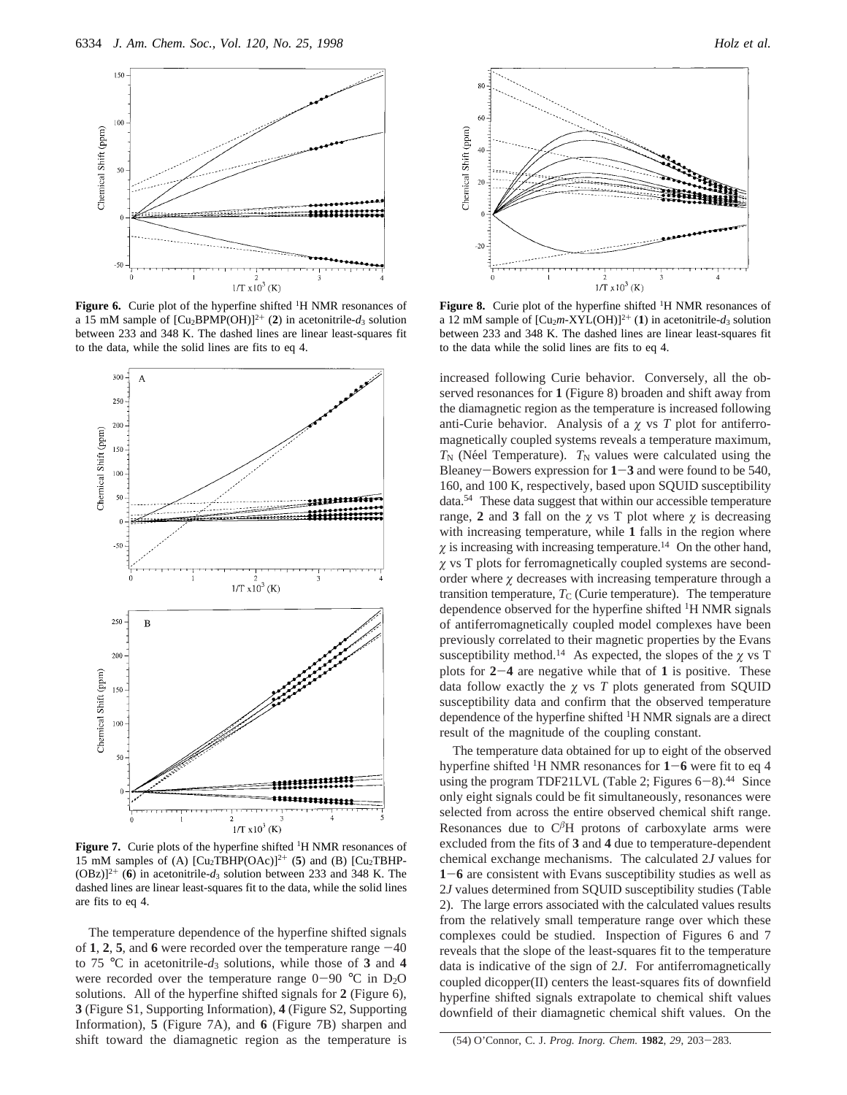

**Figure 6.** Curie plot of the hyperfine shifted <sup>1</sup>H NMR resonances of a 15 mM sample of  $[Cu_2BPMP(OH)]^{2+}$  (2) in acetonitrile- $d_3$  solution between 233 and 348 K. The dashed lines are linear least-squares fit to the data, while the solid lines are fits to eq 4.



Figure 7. Curie plots of the hyperfine shifted <sup>1</sup>H NMR resonances of 15 mM samples of (A)  $[Cu<sub>2</sub>TBHP(OAc)]^{2+}$  (5) and (B)  $[Cu<sub>2</sub>TBHP-P<sub>2</sub>]$  $(OBz)]^{2+}$  (6) in acetonitrile- $d_3$  solution between 233 and 348 K. The dashed lines are linear least-squares fit to the data, while the solid lines are fits to eq 4.

The temperature dependence of the hyperfine shifted signals of 1, 2, 5, and 6 were recorded over the temperature range  $-40$ to 75 °C in acetonitrile- $d_3$  solutions, while those of 3 and 4 were recorded over the temperature range  $0-90$  °C in D<sub>2</sub>O solutions. All of the hyperfine shifted signals for **2** (Figure 6), **3** (Figure S1, Supporting Information), **4** (Figure S2, Supporting Information), **5** (Figure 7A), and **6** (Figure 7B) sharpen and shift toward the diamagnetic region as the temperature is





**Figure 8.** Curie plot of the hyperfine shifted <sup>1</sup>H NMR resonances of a 12 mM sample of  $[Cu<sub>2</sub>m-XYL(OH)]<sup>2+</sup> (1)$  in acetonitrile- $d_3$  solution between 233 and 348 K. The dashed lines are linear least-squares fit to the data while the solid lines are fits to eq 4.

increased following Curie behavior. Conversely, all the observed resonances for **1** (Figure 8) broaden and shift away from the diamagnetic region as the temperature is increased following anti-Curie behavior. Analysis of a  $\chi$  vs  $T$  plot for antiferromagnetically coupled systems reveals a temperature maximum,  $T_N$  (Néel Temperature).  $T_N$  values were calculated using the Bleaney-Bowers expression for **<sup>1</sup>**-**<sup>3</sup>** and were found to be 540, 160, and 100 K, respectively, based upon SQUID susceptibility data.54 These data suggest that within our accessible temperature range, 2 and 3 fall on the  $\chi$  vs T plot where  $\chi$  is decreasing with increasing temperature, while **1** falls in the region where  $\chi$  is increasing with increasing temperature.<sup>14</sup> On the other hand, *ø* vs T plots for ferromagnetically coupled systems are secondorder where  $\chi$  decreases with increasing temperature through a transition temperature,  $T_{\rm C}$  (Curie temperature). The temperature dependence observed for the hyperfine shifted <sup>1</sup>H NMR signals of antiferromagnetically coupled model complexes have been previously correlated to their magnetic properties by the Evans susceptibility method.<sup>14</sup> As expected, the slopes of the  $\gamma$  vs T plots for **<sup>2</sup>**-**<sup>4</sup>** are negative while that of **<sup>1</sup>** is positive. These data follow exactly the *ø* vs *T* plots generated from SQUID susceptibility data and confirm that the observed temperature dependence of the hyperfine shifted 1H NMR signals are a direct result of the magnitude of the coupling constant.

The temperature data obtained for up to eight of the observed hyperfine shifted <sup>1</sup>H NMR resonances for  $1-6$  were fit to eq 4 using the program TDF21LVL (Table 2; Figures  $6-8$ ).<sup>44</sup> Since only eight signals could be fit simultaneously, resonances were selected from across the entire observed chemical shift range. Resonances due to  $C^{\beta}H$  protons of carboxylate arms were excluded from the fits of **3** and **4** due to temperature-dependent chemical exchange mechanisms. The calculated 2*J* values for **<sup>1</sup>**-**<sup>6</sup>** are consistent with Evans susceptibility studies as well as 2*J* values determined from SQUID susceptibility studies (Table 2). The large errors associated with the calculated values results from the relatively small temperature range over which these complexes could be studied. Inspection of Figures 6 and 7 reveals that the slope of the least-squares fit to the temperature data is indicative of the sign of 2*J*. For antiferromagnetically coupled dicopper(II) centers the least-squares fits of downfield hyperfine shifted signals extrapolate to chemical shift values downfield of their diamagnetic chemical shift values. On the